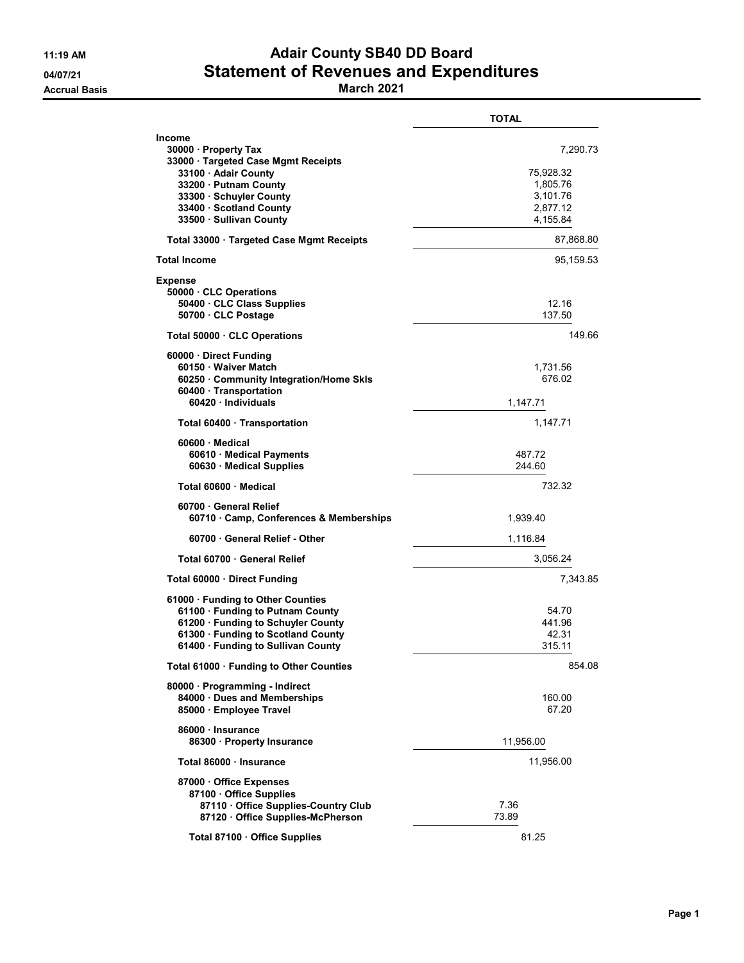## 11:19 AM **Adair County SB40 DD Board** 04/07/21 Statement of Revenues and Expenditures

Accrual Basis March 2021

|                                                                                                                                                                                                         | <b>TOTAL</b>                                                          |
|---------------------------------------------------------------------------------------------------------------------------------------------------------------------------------------------------------|-----------------------------------------------------------------------|
| Income<br>30000 · Property Tax<br>33000 · Targeted Case Mgmt Receipts<br>33100 · Adair County<br>33200 · Putnam County<br>33300 · Schuyler County<br>33400 · Scotland County<br>33500 · Sullivan County | 7,290.73<br>75,928.32<br>1,805.76<br>3,101.76<br>2,877.12<br>4,155.84 |
| Total 33000 · Targeted Case Mgmt Receipts                                                                                                                                                               | 87,868.80                                                             |
| Total Income                                                                                                                                                                                            | 95,159.53                                                             |
| Expense<br>50000 CLC Operations<br>50400 · CLC Class Supplies<br>50700 CLC Postage                                                                                                                      | 12.16<br>137.50                                                       |
| Total 50000 CLC Operations                                                                                                                                                                              | 149.66                                                                |
| 60000 Direct Funding<br>60150 · Waiver Match<br>60250 Community Integration/Home Skls<br>60400 · Transportation<br>60420 · Individuals                                                                  | 1,731.56<br>676.02<br>1,147.71                                        |
| Total 60400 Transportation                                                                                                                                                                              | 1,147.71                                                              |
| 60600 Medical<br>60610 · Medical Payments<br>60630 Medical Supplies                                                                                                                                     | 487.72<br>244.60                                                      |
| Total 60600 Medical                                                                                                                                                                                     | 732.32                                                                |
| 60700 General Relief<br>60710 Camp, Conferences & Memberships                                                                                                                                           | 1,939.40                                                              |
| 60700 General Relief - Other                                                                                                                                                                            | 1,116.84                                                              |
| Total 60700 General Relief                                                                                                                                                                              | 3,056.24                                                              |
| Total 60000 · Direct Funding                                                                                                                                                                            | 7,343.85                                                              |
| 61000 · Funding to Other Counties<br>61100 · Funding to Putnam County<br>61200 · Funding to Schuyler County<br>61300 · Funding to Scotland County<br>61400 · Funding to Sullivan County                 | 54.70<br>441.96<br>42.31<br>315.11                                    |
| Total 61000 · Funding to Other Counties                                                                                                                                                                 | 854.08                                                                |
| 80000 · Programming - Indirect<br>84000 · Dues and Memberships<br>85000 · Employee Travel                                                                                                               | 160.00<br>67.20                                                       |
| 86000 · Insurance<br>86300 · Property Insurance                                                                                                                                                         | 11,956.00                                                             |
| Total 86000 · Insurance                                                                                                                                                                                 | 11,956.00                                                             |
| 87000 Office Expenses<br>87100 Office Supplies<br>87110 Office Supplies-Country Club<br>87120 Office Supplies-McPherson                                                                                 | 7.36<br>73.89                                                         |
| Total 87100 · Office Supplies                                                                                                                                                                           | 81.25                                                                 |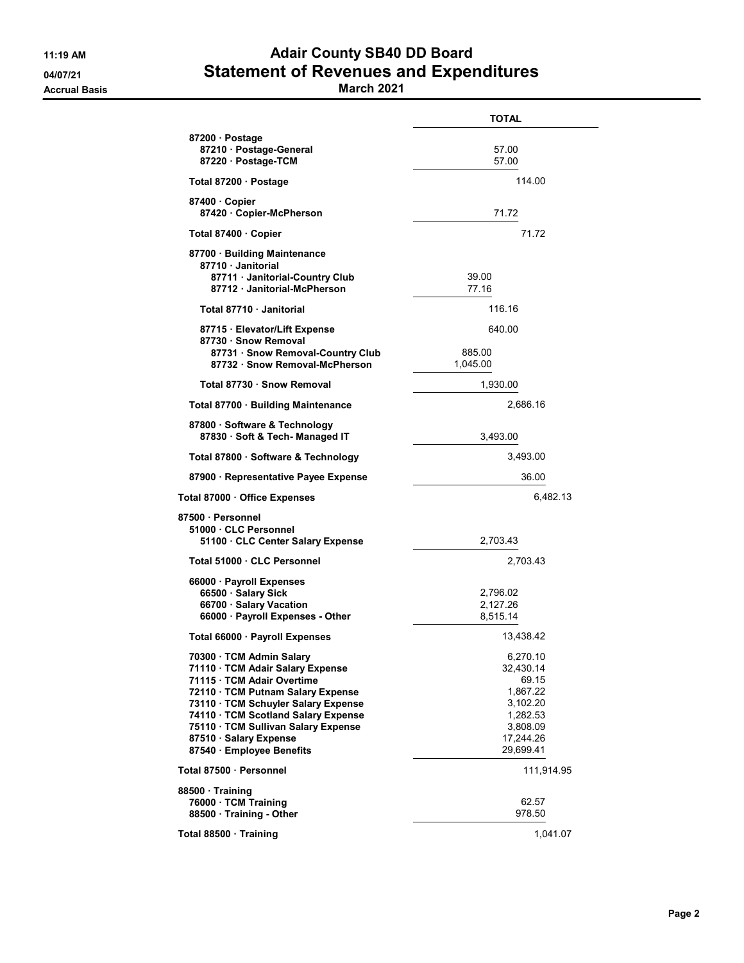## 11:19 AM **Adair County SB40 DD Board** 04/07/21 Statement of Revenues and Expenditures

Accrual Basis March 2021

|                                                                                                                                                                                                                                                                                                             | <b>TOTAL</b>                                                                                             |
|-------------------------------------------------------------------------------------------------------------------------------------------------------------------------------------------------------------------------------------------------------------------------------------------------------------|----------------------------------------------------------------------------------------------------------|
| 87200 Dostage<br>87210 · Postage-General<br>87220 · Postage-TCM                                                                                                                                                                                                                                             | 57.00<br>57.00                                                                                           |
| Total 87200 · Postage                                                                                                                                                                                                                                                                                       | 114.00                                                                                                   |
| 87400 Copier<br>87420 · Copier-McPherson                                                                                                                                                                                                                                                                    | 71.72                                                                                                    |
| Total 87400 · Copier                                                                                                                                                                                                                                                                                        | 71.72                                                                                                    |
| 87700 · Building Maintenance<br>87710 · Janitorial<br>87711 · Janitorial-Country Club<br>87712 · Janitorial-McPherson                                                                                                                                                                                       | 39.00<br>77.16                                                                                           |
| Total 87710 Janitorial                                                                                                                                                                                                                                                                                      | 116.16                                                                                                   |
| 87715 · Elevator/Lift Expense                                                                                                                                                                                                                                                                               | 640.00                                                                                                   |
| 87730 · Snow Removal<br>87731 · Snow Removal-Country Club<br>87732 · Snow Removal-McPherson                                                                                                                                                                                                                 | 885.00<br>1,045.00                                                                                       |
| Total 87730 · Snow Removal                                                                                                                                                                                                                                                                                  | 1,930.00                                                                                                 |
| Total 87700 · Building Maintenance                                                                                                                                                                                                                                                                          | 2,686.16                                                                                                 |
| 87800 · Software & Technology<br>87830 · Soft & Tech- Managed IT                                                                                                                                                                                                                                            | 3,493.00                                                                                                 |
| Total 87800 · Software & Technology                                                                                                                                                                                                                                                                         | 3,493.00                                                                                                 |
| 87900 · Representative Payee Expense                                                                                                                                                                                                                                                                        | 36.00                                                                                                    |
| Total 87000 Office Expenses                                                                                                                                                                                                                                                                                 | 6,482.13                                                                                                 |
| 87500 Personnel<br>51000 CLC Personnel<br>51100 · CLC Center Salary Expense                                                                                                                                                                                                                                 | 2,703.43                                                                                                 |
| Total 51000 · CLC Personnel                                                                                                                                                                                                                                                                                 | 2,703.43                                                                                                 |
| 66000 · Payroll Expenses<br>66500 · Salary Sick<br>66700 · Salary Vacation<br>66000 · Payroll Expenses - Other                                                                                                                                                                                              | 2,796.02<br>2,127.26<br>8,515.14                                                                         |
| Total 66000 · Payroll Expenses                                                                                                                                                                                                                                                                              | 13,438.42                                                                                                |
| 70300 · TCM Admin Salary<br>71110 · TCM Adair Salary Expense<br>71115 · TCM Adair Overtime<br>72110 · TCM Putnam Salary Expense<br>73110 · TCM Schuyler Salary Expense<br>74110 · TCM Scotland Salary Expense<br>75110 · TCM Sullivan Salary Expense<br>87510 · Salary Expense<br>87540 · Employee Benefits | 6,270.10<br>32,430.14<br>69.15<br>1,867.22<br>3,102.20<br>1,282.53<br>3,808.09<br>17.244.26<br>29,699.41 |
| Total 87500 · Personnel                                                                                                                                                                                                                                                                                     | 111,914.95                                                                                               |
| 88500 Training<br>76000 · TCM Training<br>88500 · Training - Other                                                                                                                                                                                                                                          | 62.57<br>978.50                                                                                          |
| Total 88500 Training                                                                                                                                                                                                                                                                                        | 1,041.07                                                                                                 |